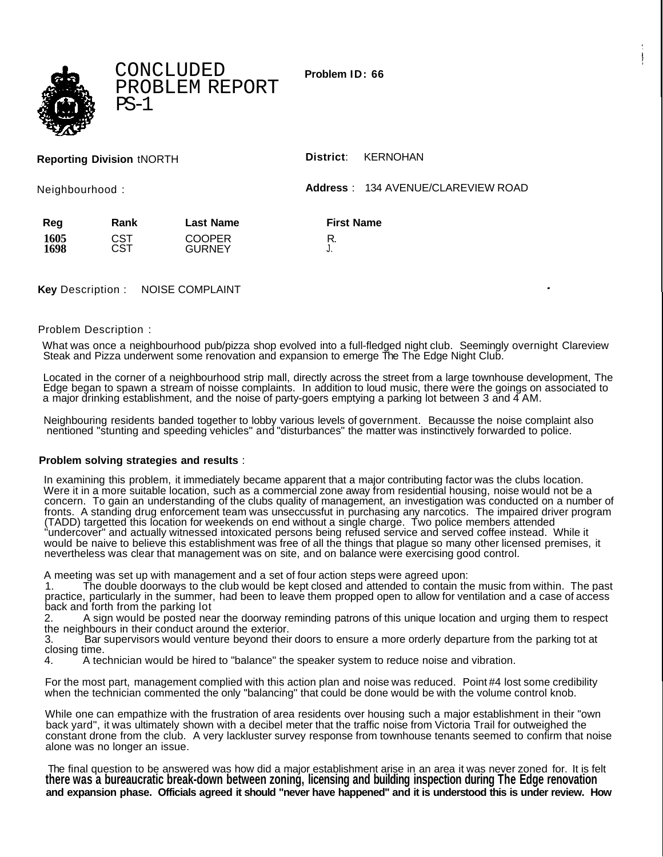CONCLUDED PROBLEM REPORT  $PS-1$ 

**Problem ID: 66**

|                 |                  | District:<br>KERNOHAN |                                                  |
|-----------------|------------------|-----------------------|--------------------------------------------------|
| Neighbourhood : |                  |                       |                                                  |
| Rank            | <b>Last Name</b> | <b>First Name</b>     |                                                  |
| CST             | <b>GURNEY</b>    | J.                    |                                                  |
|                 | CST              | <b>COOPER</b>         | <b>Address</b> : 134 AVENUE/CLAREVIEW ROAD<br>R. |

**Key** Description : NOISE COMPLAINT

Problem Description :

What was once a neighbourhood pub/pizza shop evolved into a full-fledged night club. Seemingly overnight Clareview Steak and Pizza underwent some renovation and expansion to emerge The The Edge Night Club.

Located in the corner of a neighbourhood strip mall, directly across the street from a large townhouse development, The Edge began to spawn a stream of noisse complaints. In addition to loud music, there were the goings on associated to a major drinking establishment, and the noise of party-goers emptying a parking lot between 3 and 4 AM.

Neighbouring residents banded together to lobby various levels of government. Becausse the noise complaint also nentioned "stunting and speeding vehicles" and "disturbances" the matter was instinctively forwarded to police.

## **Problem solving strategies and results** :

In examining this problem, it immediately became apparent that a major contributing factor was the clubs location. Were it in a more suitable location, such as a commercial zone away from residential housing, noise would not be a concern. To gain an understanding of the clubs quality of management, an investigation was conducted on a number of fronts. A standing drug enforcement team was unseccussfut in purchasing any narcotics. The impaired driver program (TADD) targetted this location for weekends on end without a single charge. Two police members attended "undercover" and actually witnessed intoxicated persons being refused service and served coffee instead. While it would be naive to believe this establishment was free of all the things that plague so many other licensed premises, it nevertheless was clear that management was on site, and on balance were exercising good control.

A meeting was set up with management and a set of four action steps were agreed upon:

1. The double doorways to the club would be kept closed and attended to contain the music from within. The past practice, particularly in the summer, had been to leave them propped open to allow for ventilation and a case of access back and forth from the parking lot

2. A sign would be posted near the doorway reminding patrons of this unique location and urging them to respect the neighbours in their conduct around the exterior.

3. Bar supervisors would venture beyond their doors to ensure a more orderly departure from the parking tot at closing time.

4. A technician would be hired to "balance" the speaker system to reduce noise and vibration.

For the most part, management complied with this action plan and noise was reduced. Point #4 lost some credibility when the technician commented the only "balancing" that could be done would be with the volume control knob.

While one can empathize with the frustration of area residents over housing such a major establishment in their "own back yard", it was ultimately shown with a decibel meter that the traffic noise from Victoria Trail for outweighed the constant drone from the club. A very lackluster survey response from townhouse tenants seemed to confirm that noise alone was no longer an issue.

The final question to be answered was how did a major establishment arise in an area it was never zoned for. It is felt **there was a bureaucratic break-down between zoning, licensing and building inspection during The Edge renovation and expansion phase. Officials agreed it should "never have happened" and it is understood this is under review. How**